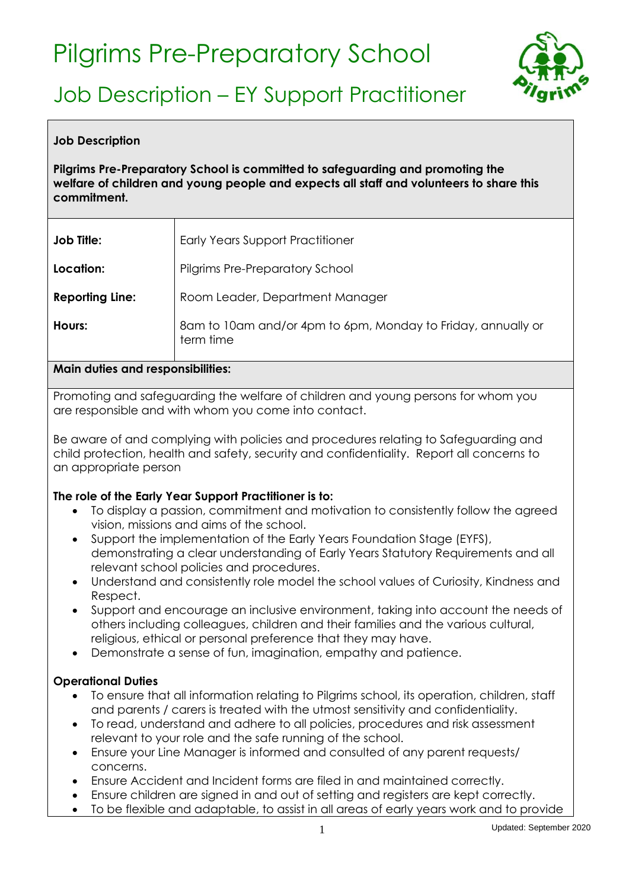# Pilgrims Pre-Preparatory School



# Job Description – EY Support Practitioner

### **Job Description**

## **Pilgrims Pre-Preparatory School is committed to safeguarding and promoting the welfare of children and young people and expects all staff and volunteers to share this commitment.**

| <b>Job Title:</b>      | <b>Early Years Support Practitioner</b>                                   |
|------------------------|---------------------------------------------------------------------------|
| Location:              | <b>Pilgrims Pre-Preparatory School</b>                                    |
| <b>Reporting Line:</b> | Room Leader, Department Manager                                           |
| Hours:                 | 8am to 10am and/or 4pm to 6pm, Monday to Friday, annually or<br>term time |

#### **Main duties and responsibilities:**

Promoting and safeguarding the welfare of children and young persons for whom you are responsible and with whom you come into contact.

Be aware of and complying with policies and procedures relating to Safeguarding and child protection, health and safety, security and confidentiality. Report all concerns to an appropriate person

## **The role of the Early Year Support Practitioner is to:**

- To display a passion, commitment and motivation to consistently follow the agreed vision, missions and aims of the school.
- Support the implementation of the Early Years Foundation Stage (EYFS), demonstrating a clear understanding of Early Years Statutory Requirements and all relevant school policies and procedures.
- Understand and consistently role model the school values of Curiosity, Kindness and Respect.
- Support and encourage an inclusive environment, taking into account the needs of others including colleagues, children and their families and the various cultural, religious, ethical or personal preference that they may have.
- Demonstrate a sense of fun, imagination, empathy and patience.

## **Operational Duties**

- To ensure that all information relating to Pilgrims school, its operation, children, staff and parents / carers is treated with the utmost sensitivity and confidentiality.
- To read, understand and adhere to all policies, procedures and risk assessment relevant to your role and the safe running of the school.
- Ensure your Line Manager is informed and consulted of any parent requests/ concerns.
- Ensure Accident and Incident forms are filed in and maintained correctly.
- Ensure children are signed in and out of setting and registers are kept correctly.
- To be flexible and adaptable, to assist in all areas of early years work and to provide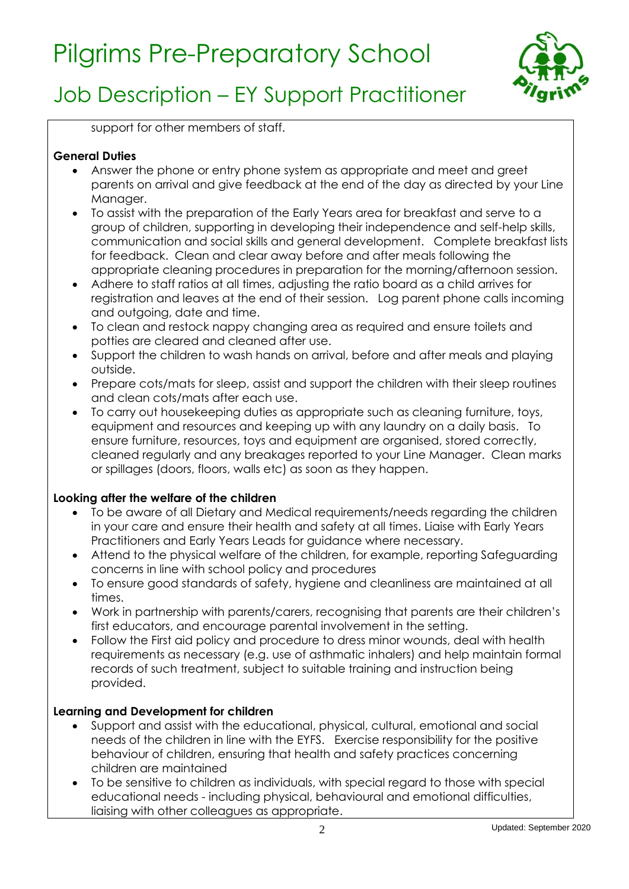# Pilgrims Pre-Preparatory School



# Job Description – EY Support Practitioner

support for other members of staff.

## **General Duties**

- Answer the phone or entry phone system as appropriate and meet and greet parents on arrival and give feedback at the end of the day as directed by your Line Manager.
- To assist with the preparation of the Early Years area for breakfast and serve to a group of children, supporting in developing their independence and self-help skills, communication and social skills and general development. Complete breakfast lists for feedback. Clean and clear away before and after meals following the appropriate cleaning procedures in preparation for the morning/afternoon session.
- Adhere to staff ratios at all times, adjusting the ratio board as a child arrives for registration and leaves at the end of their session. Log parent phone calls incoming and outgoing, date and time.
- To clean and restock nappy changing area as required and ensure toilets and potties are cleared and cleaned after use.
- Support the children to wash hands on arrival, before and after meals and playing outside.
- Prepare cots/mats for sleep, assist and support the children with their sleep routines and clean cots/mats after each use.
- To carry out housekeeping duties as appropriate such as cleaning furniture, toys, equipment and resources and keeping up with any laundry on a daily basis. To ensure furniture, resources, toys and equipment are organised, stored correctly, cleaned regularly and any breakages reported to your Line Manager. Clean marks or spillages (doors, floors, walls etc) as soon as they happen.

# **Looking after the welfare of the children**

- To be aware of all Dietary and Medical requirements/needs regarding the children in your care and ensure their health and safety at all times. Liaise with Early Years Practitioners and Early Years Leads for guidance where necessary.
- Attend to the physical welfare of the children, for example, reporting Safeguarding concerns in line with school policy and procedures
- To ensure good standards of safety, hygiene and cleanliness are maintained at all times.
- Work in partnership with parents/carers, recognising that parents are their children's first educators, and encourage parental involvement in the setting.
- Follow the First aid policy and procedure to dress minor wounds, deal with health requirements as necessary (e.g. use of asthmatic inhalers) and help maintain formal records of such treatment, subject to suitable training and instruction being provided.

# **Learning and Development for children**

- Support and assist with the educational, physical, cultural, emotional and social needs of the children in line with the EYFS. Exercise responsibility for the positive behaviour of children, ensuring that health and safety practices concerning children are maintained
- To be sensitive to children as individuals, with special regard to those with special educational needs - including physical, behavioural and emotional difficulties, liaising with other colleagues as appropriate.